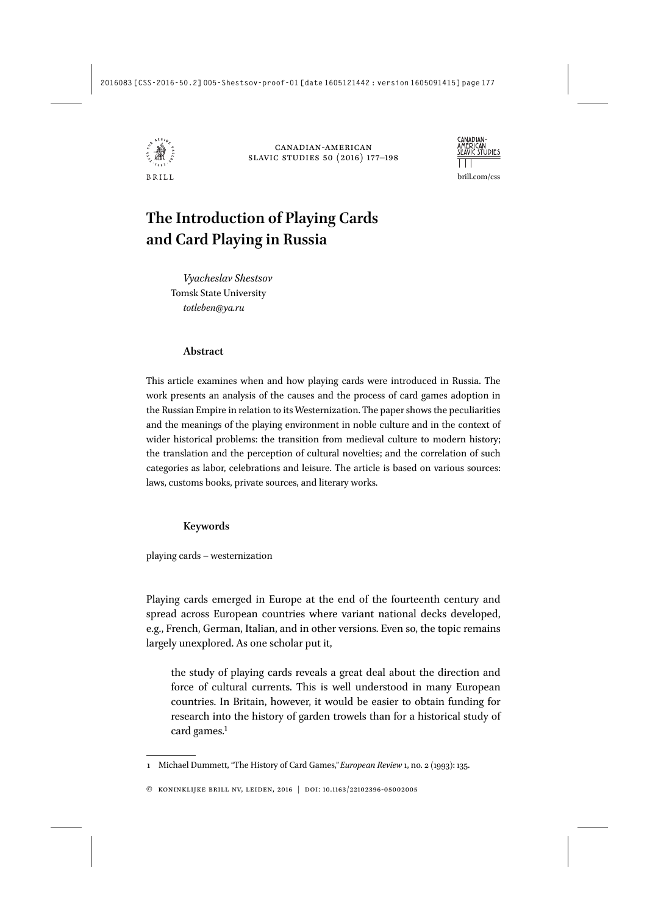

Canadian-American Slavic Studies 50 (2016) [177](#page-0-0)[–198](#page-21-0)



# <span id="page-0-0"></span>**The Introduction of Playing Cards and Card Playing in Russia**

*Vyacheslav Shestsov* Tomsk State University *[totleben@ya.ru](mailto:totleben@ya.ru)*

### **Abstract**

This article examines when and how playing cards were introduced in Russia. The work presents an analysis of the causes and the process of card games adoption in the Russian Empire in relation to its Westernization. The paper shows the peculiarities and the meanings of the playing environment in noble culture and in the context of wider historical problems: the transition from medieval culture to modern history; the translation and the perception of cultural novelties; and the correlation of such categories as labor, celebrations and leisure. The article is based on various sources: laws, customs books, private sources, and literary works.

### **Keywords**

playing cards – westernization

Playing cards emerged in Europe at the end of the fourteenth century and spread across European countries where variant national decks developed, e.g., French, German, Italian, and in other versions. Even so, the topic remains largely unexplored. As one scholar put it,

the study of playing cards reveals a great deal about the direction and force of cultural currents. This is well understood in many European countries. In Britain, however, it would be easier to obtain funding for research into the history of garden trowels than for a historical study of card games.<sup>1</sup>

<sup>1</sup> Michael Dummett, "The History of Card Games," *European Review* 1, no. 2 (1993): 135.

<sup>©</sup> koninklijke brill nv, leiden, 2016 | doi: 10.1163/22102396-05002005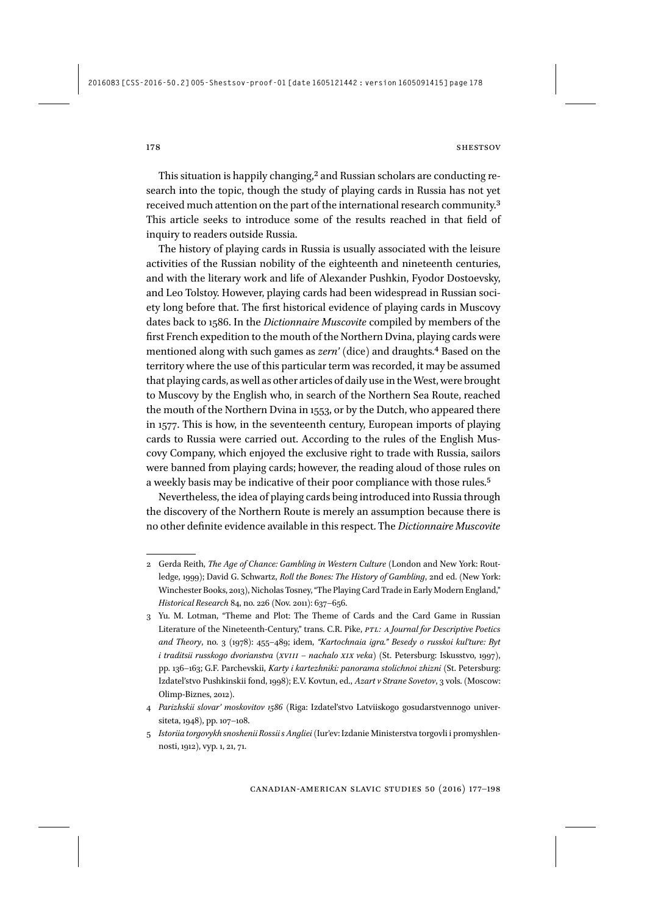# 178 SHESTSOV

This situation is happily changing,<sup>2</sup> and Russian scholars are conducting research into the topic, though the study of playing cards in Russia has not yet received much attention on the part of the international research community.3 This article seeks to introduce some of the results reached in that field of inquiry to readers outside Russia.

The history of playing cards in Russia is usually associated with the leisure activities of the Russian nobility of the eighteenth and nineteenth centuries, and with the literary work and life of Alexander Pushkin, Fyodor Dostoevsky, and Leo Tolstoy. However, playing cards had been widespread in Russian society long before that. The first historical evidence of playing cards in Muscovy dates back to 1586. In the *Dictionnaire Muscovite* compiled by members of the first French expedition to the mouth of the Northern Dvina, playing cards were mentioned along with such games as *zern'* (dice) and draughts.4 Based on the territory where the use of this particular term was recorded, it may be assumed that playing cards, as well as other articles of daily use in theWest, were brought to Muscovy by the English who, in search of the Northern Sea Route, reached the mouth of the Northern Dvina in 1553, or by the Dutch, who appeared there in 1577. This is how, in the seventeenth century, European imports of playing cards to Russia were carried out. According to the rules of the English Muscovy Company, which enjoyed the exclusive right to trade with Russia, sailors were banned from playing cards; however, the reading aloud of those rules on a weekly basis may be indicative of their poor compliance with those rules.5

Nevertheless, the idea of playing cards being introduced into Russia through the discovery of the Northern Route is merely an assumption because there is no other definite evidence available in this respect. The *Dictionnaire Muscovite*

<sup>2</sup> Gerda Reith, *The Age of Chance: Gambling in Western Culture* (London and New York: Routledge, 1999); David G. Schwartz, *Roll the Bones: The History of Gambling*, 2nd ed. (New York: Winchester Books, 2013), Nicholas Tosney,"The Playing Card Trade in Early Modern England," *Historical Research* 84, no. 226 (Nov. 2011): 637–656.

<sup>3</sup> Yu. М. Lotman, "Theme and Plot: The Theme of Cards and the Card Game in Russian Literature of the Nineteenth-Century," trans. C.R. Pike, *ptl: a Journal for Descriptive Poetics and Theory*, no. 3 (1978): 455–489; idem, *"Kartochnaia igra." Besedy o russkoi kul'ture: Byt i traditsii russkogo dvorianstva (xviii – nachalo xix veka)* (St. Petersburg: Iskusstvo, 1997), pp. 136–163; G.F. Parchevskii, *Karty i kartezhniki: panorama stolichnoi zhizni* (St. Petersburg: Izdatel'stvo Pushkinskii fond, 1998); E.V. Kovtun, ed., *Azart v Strane Sovetov*, 3 vols. (Moscow: Olimp-Biznes, 2012).

<sup>4</sup> *Parizhskii slovar' moskovitov 1586* (Riga: Izdatel'stvo Latviiskogo gosudarstvennogo universiteta, 1948), pp. 107–108.

<sup>5</sup> *Istoriia torgovykh snoshenii Rossii s Angliei* (Iur'ev: Izdanie Ministerstva torgovli i promyshlennosti, 1912), vyp. 1, 21, 71.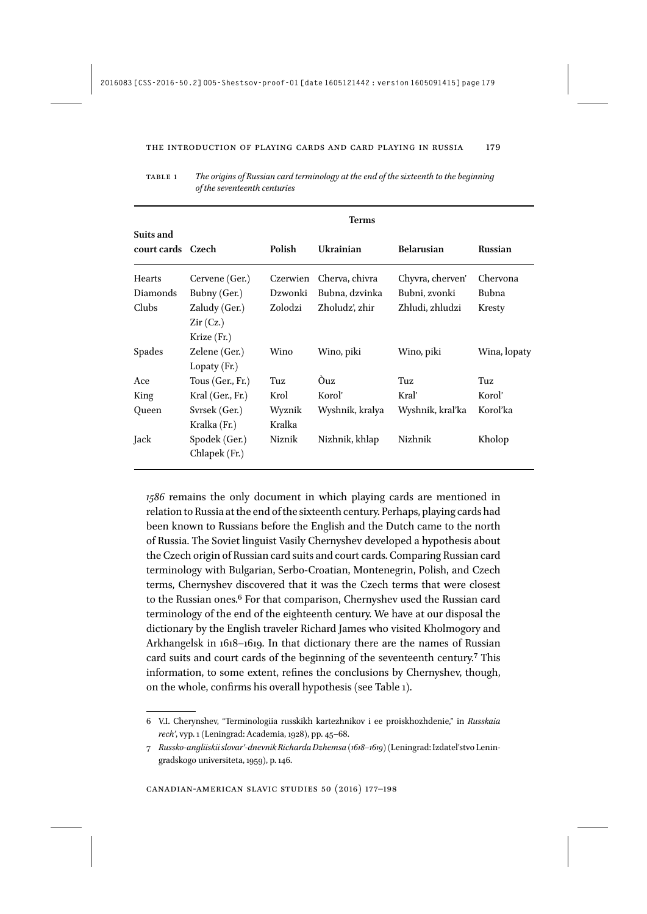table 1 *The origins of Russian card terminology at the end of the sixteenth to the beginning of the seventeenth centuries*

|                                | Terms            |          |                 |                   |                |
|--------------------------------|------------------|----------|-----------------|-------------------|----------------|
| Suits and<br>court cards Czech |                  | Polish   | Ukrainian       | <b>Belarusian</b> | <b>Russian</b> |
| Hearts                         | Cervene (Ger.)   | Czerwien | Cherva, chivra  | Chyvra, cherven'  | Chervona       |
| Diamonds                       | Bubny (Ger.)     | Dzwonki  | Bubna, dzvinka  | Bubni, zvonki     | <b>Bubna</b>   |
| Clubs                          | Zaludy (Ger.)    | Zolodzi  | Zholudz', zhir  | Zhludi, zhludzi   | Kresty         |
|                                | Zir(Cz.)         |          |                 |                   |                |
|                                | Krize $(Fr)$     |          |                 |                   |                |
| Spades                         | Zelene (Ger.)    | Wino     | Wino, piki      | Wino, piki        | Wina, lopaty   |
|                                | Lopaty $(Fr.)$   |          |                 |                   |                |
| Ace                            | Tous (Ger., Fr.) | Tuz      | Òuz             | Tuz               | Tuz            |
| King                           | Kral (Ger., Fr.) | Krol     | Korol'          | Kral'             | Korol'         |
| Queen                          | Svrsek (Ger.)    | Wyznik   | Wyshnik, kralya | Wyshnik, kral'ka  | Korol'ka       |
|                                | Kralka (Fr.)     | Kralka   |                 |                   |                |
| Jack                           | Spodek (Ger.)    | Niznik   | Nizhnik, khlap  | Nizhnik           | Kholop         |
|                                | Chlapek (Fr.)    |          |                 |                   |                |

*1586* remains the only document in which playing cards are mentioned in relation to Russia at the end of the sixteenth century. Perhaps, playing cards had been known to Russians before the English and the Dutch came to the north of Russia. The Soviet linguist Vasily Chernyshev developed a hypothesis about the Czech origin of Russian card suits and court cards. Comparing Russian card terminology with Bulgarian, Serbo-Croatian, Montenegrin, Polish, and Czech terms, Chernyshev discovered that it was the Czech terms that were closest to the Russian ones.<sup>6</sup> For that comparison, Chernyshev used the Russian card terminology of the end of the eighteenth century. We have at our disposal the dictionary by the English traveler Richard James who visited Kholmogory and Arkhangelsk in 1618–1619. In that dictionary there are the names of Russian card suits and court cards of the beginning of the seventeenth century.7 This information, to some extent, refines the conclusions by Chernyshev, though, on the whole, confirms his overall hypothesis (see Table 1).

<sup>6</sup> V.I. Cherynshev, "Terminologiia russkikh kartezhnikov i ee proiskhozhdenie," in *Russkaia rech'*, vyp. 1 (Leningrad: Academia, 1928), pp. 45–68.

<sup>7</sup> *Russko-angliiskii slovar'-dnevnik Richarda Dzhemsa (1618–1619)*(Leningrad:Izdatel'stvo Leningradskogo universiteta, 1959), p. 146.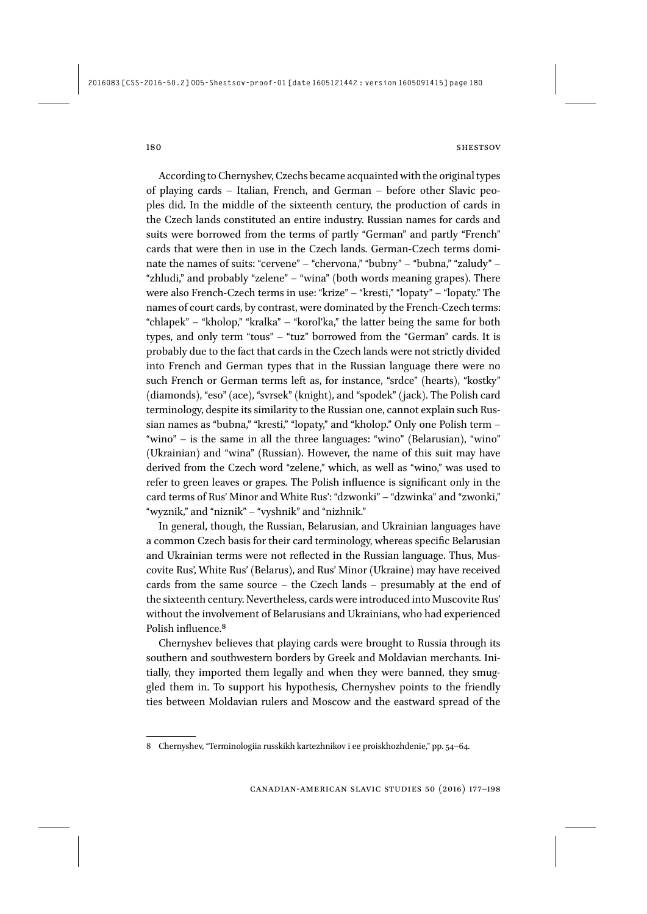# 180 SHESTSOV

According to Chernyshev, Czechs became acquainted with the original types of playing cards – Italian, French, and German – before other Slavic peoples did. In the middle of the sixteenth century, the production of cards in the Czech lands constituted an entire industry. Russian names for cards and suits were borrowed from the terms of partly "German" and partly "French" cards that were then in use in the Czech lands. German-Czech terms dominate the names of suits: "cervene" – "chervona," "bubny" – "bubna," "zaludy" – "zhludi," and probably "zelene" – "wina" (both words meaning grapes). There were also French-Czech terms in use: "krize" – "kresti," "lopaty" – "lopaty." The names of court cards, by contrast, were dominated by the French-Czech terms: "chlapek" – "kholop," "kralka" – "korol'ka," the latter being the same for both types, and only term "tous" – "tuz" borrowed from the "German" cards. It is probably due to the fact that cards in the Czech lands were not strictly divided into French and German types that in the Russian language there were no such French or German terms left as, for instance, "srdce" (hearts), "kostky" (diamonds), "eso" (ace), "svrsek" (knight), and "spodek" (jack). The Polish card terminology, despite its similarity to the Russian one, cannot explain such Russian names as "bubna," "kresti," "lopaty," and "kholop." Only one Polish term -"wino" – is the same in all the three languages: "wino" (Belarusian), "wino" (Ukrainian) and "wina" (Russian). However, the name of this suit may have derived from the Czech word "zelene," which, as well as "wino," was used to refer to green leaves or grapes. The Polish influence is significant only in the card terms of Rus' Minor and White Rus': "dzwonki" – "dzwinka" and "zwonki," "wyznik," and "niznik" – "vyshnik" and "nizhnik."

In general, though, the Russian, Belarusian, and Ukrainian languages have a common Czech basis for their card terminology, whereas specific Belarusian and Ukrainian terms were not reflected in the Russian language. Thus, Muscovite Rus', White Rus' (Belarus), and Rus' Minor (Ukraine) may have received cards from the same source – the Czech lands – presumably at the end of the sixteenth century. Nevertheless, cards were introduced into Muscovite Rus' without the involvement of Belarusians and Ukrainians, who had experienced Polish influence.8

Chernyshev believes that playing cards were brought to Russia through its southern and southwestern borders by Greek and Moldavian merchants. Initially, they imported them legally and when they were banned, they smuggled them in. To support his hypothesis, Chernyshev points to the friendly ties between Moldavian rulers and Moscow and the eastward spread of the

<sup>8</sup> Chernyshev, "Terminologiia russkikh kartezhnikov i ee proiskhozhdenie," pp. 54–64.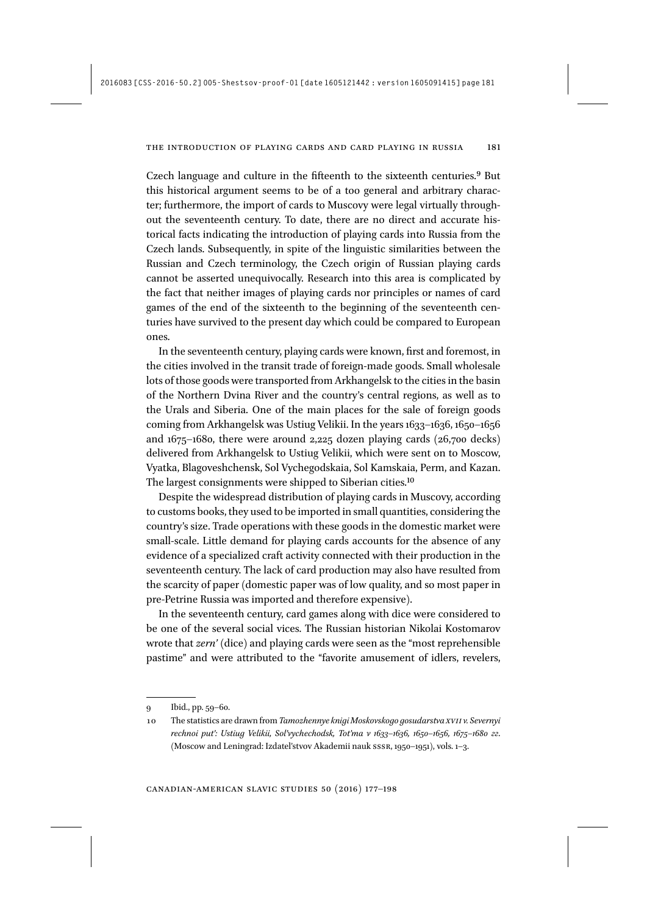Czech language and culture in the fifteenth to the sixteenth centuries.9 But this historical argument seems to be of a too general and arbitrary character; furthermore, the import of cards to Muscovy were legal virtually throughout the seventeenth century. To date, there are no direct and accurate historical facts indicating the introduction of playing cards into Russia from the Czech lands. Subsequently, in spite of the linguistic similarities between the Russian and Czech terminology, the Czech origin of Russian playing cards cannot be asserted unequivocally. Research into this area is complicated by the fact that neither images of playing cards nor principles or names of card games of the end of the sixteenth to the beginning of the seventeenth centuries have survived to the present day which could be compared to European ones.

In the seventeenth century, playing cards were known, first and foremost, in the cities involved in the transit trade of foreign-made goods. Small wholesale lots of those goods were transported from Arkhangelsk to the cities in the basin of the Northern Dvina River and the country's central regions, as well as to the Urals and Siberia. One of the main places for the sale of foreign goods coming from Arkhangelsk was Ustiug Velikii. In the years 1633–1636, 1650–1656 and 1675–1680, there were around 2,225 dozen playing cards (26,700 decks) delivered from Arkhangelsk to Ustiug Velikii, which were sent on to Moscow, Vyatka, Blagoveshchensk, Sol Vychegodskaia, Sol Kamskaia, Perm, and Kazan. The largest consignments were shipped to Siberian cities.<sup>10</sup>

Despite the widespread distribution of playing cards in Muscovy, according to customs books, they used to be imported in small quantities, considering the country's size. Trade operations with these goods in the domestic market were small-scale. Little demand for playing cards accounts for the absence of any evidence of a specialized craft activity connected with their production in the seventeenth century. The lack of card production may also have resulted from the scarcity of paper (domestic paper was of low quality, and so most paper in pre-Petrine Russia was imported and therefore expensive).

In the seventeenth century, card games along with dice were considered to be one of the several social vices. The Russian historian Nikolai Kostomarov wrote that *zern'* (dice) and playing cards were seen as the "most reprehensible pastime" and were attributed to the "favorite amusement of idlers, revelers,

<sup>9</sup> Ibid., pp. 59–60.

<sup>10</sup> The statistics are drawn from *Tamozhennye knigi Moskovskogo gosudarstva xvii v. Severnyi rechnoi put': Ustiug Velikii, Sol'vychechodsk, Tot'ma v 1633–1636, 1650–1656, 1675–1680 гг*. (Moscow and Leningrad: Izdatel'stvov Akademii nauk sssr, 1950–1951), vols. 1–3.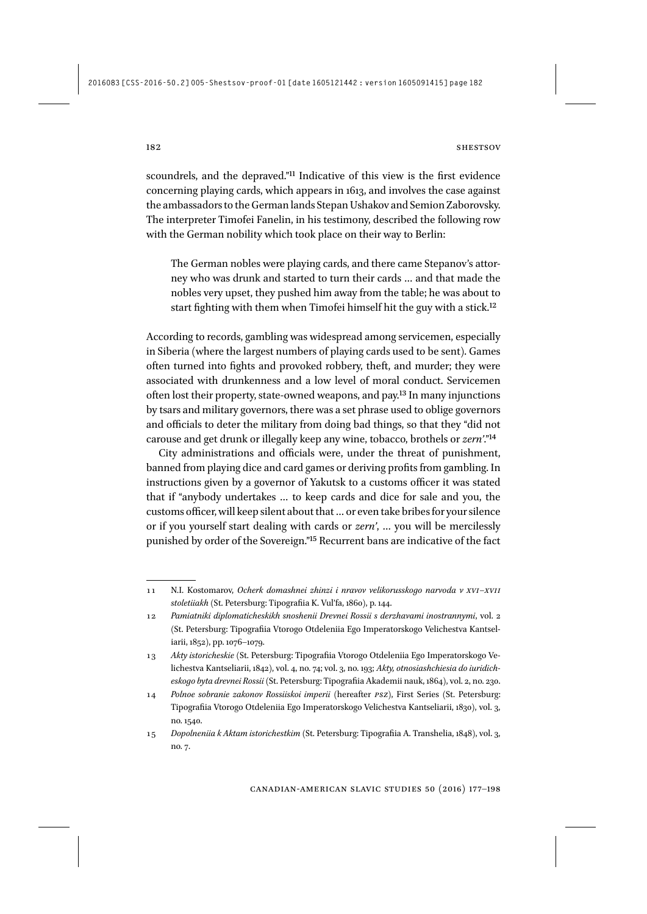scoundrels, and the depraved."11 Indicative of this view is the first evidence concerning playing cards, which appears in 1613, and involves the case against the ambassadors to the German lands Stepan Ushakov and Semion Zaborovsky. The interpreter Timofei Fanelin, in his testimony, described the following row with the German nobility which took place on their way to Berlin:

The German nobles were playing cards, and there came Stepanov's attorney who was drunk and started to turn their cards … and that made the nobles very upset, they pushed him away from the table; he was about to start fighting with them when Timofei himself hit the guy with a stick.12

According to records, gambling was widespread among servicemen, especially in Siberia (where the largest numbers of playing cards used to be sent). Games often turned into fights and provoked robbery, theft, and murder; they were associated with drunkenness and a low level of moral conduct. Servicemen often lost their property, state-owned weapons, and pay.13 In many injunctions by tsars and military governors, there was a set phrase used to oblige governors and officials to deter the military from doing bad things, so that they "did not carouse and get drunk or illegally keep any wine, tobacco, brothels or *zern'*."14

City administrations and officials were, under the threat of punishment, banned from playing dice and card games or deriving profits from gambling. In instructions given by a governor of Yakutsk to a customs officer it was stated that if "anybody undertakes … to keep cards and dice for sale and you, the customs officer, will keep silent about that … or even take bribes for your silence or if you yourself start dealing with cards or *zern'*, … you will be mercilessly punished by order of the Sovereign."15 Recurrent bans are indicative of the fact

<sup>11</sup> N.I. Kostomarov, *Ocherk domashnei zhinzi i nravov velikorusskogo narvoda v xvi–xvii stoletiiakh* (St. Petersburg: Tipografiia K. Vul'fa, 1860), p. 144.

<sup>12</sup> *Pamiatniki diplomaticheskikh snoshenii Drevnei Rossii s derzhavami inostrannymi*, vol. 2 (St. Petersburg: Tipografiia Vtorogo Otdeleniia Ego Imperatorskogo Velichestva Kantseliarii, 1852), pp. 1076–1079.

<sup>13</sup> *Akty istoricheskie* (St. Petersburg: Tipografiia Vtorogo Otdeleniia Ego Imperatorskogo Velichestva Kantseliarii, 1842), vol. 4, no. 74; vol. 3, no. 193; *Akty, otnosiashchiesia do iuridicheskogo byta drevnei Rossii* (St. Petersburg: Tipografiia Akademii nauk, 1864), vol. 2, no. 230.

<sup>14</sup> *Polnoe sobranie zakonov Rossiiskoi imperii* (hereafter *psz*), First Series (St. Petersburg: Tipografiia Vtorogo Otdeleniia Ego Imperatorskogo Velichestva Kantseliarii, 1830), vol. 3, no. 1540.

<sup>15</sup> *Dopolneniia k Aktam istorichestkim* (St. Petersburg: Tipografiia A. Transhelia, 1848), vol. 3, no. 7.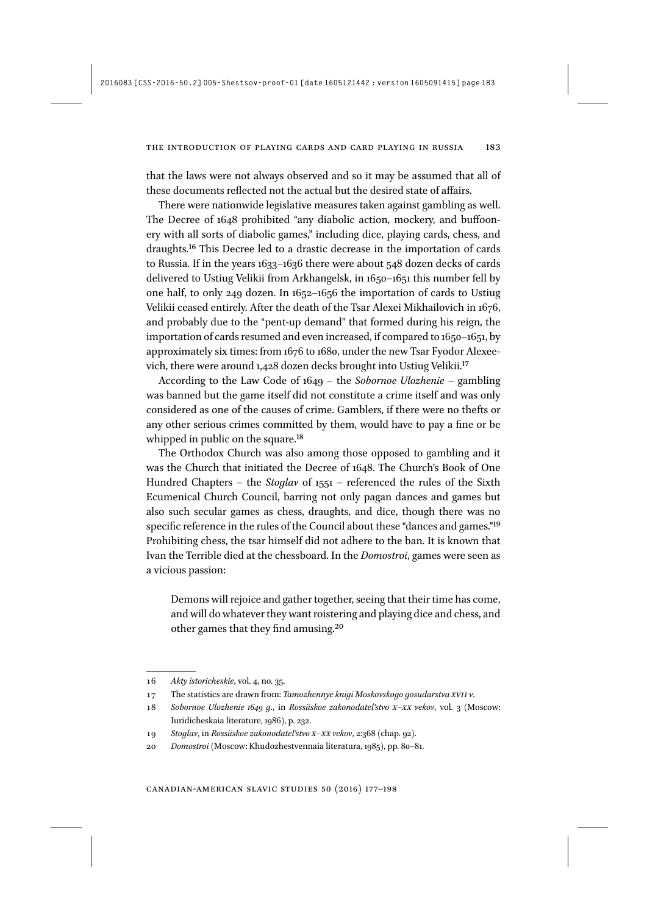that the laws were not always observed and so it may be assumed that all of these documents reflected not the actual but the desired state of affairs.

There were nationwide legislative measures taken against gambling as well. The Decree of 1648 prohibited "any diabolic action, mockery, and buffoonery with all sorts of diabolic games," including dice, playing cards, chess, and draughts.16 This Decree led to a drastic decrease in the importation of cards to Russia. If in the years 1633–1636 there were about 548 dozen decks of cards delivered to Ustiug Velikii from Arkhangelsk, in 1650–1651 this number fell by one half, to only 249 dozen. In 1652–1656 the importation of cards to Ustiug Velikii ceased entirely. After the death of the Tsar Alexei Mikhailovich in 1676, and probably due to the "pent-up demand" that formed during his reign, the importation of cards resumed and even increased, if compared to 1650–1651, by approximately six times: from 1676 to 1680, under the new Tsar Fyodor Alexeevich, there were around 1,428 dozen decks brought into Ustiug Velikii.17

According to the Law Code of 1649 – the *Sobornoe Ulozhenie* – gambling was banned but the game itself did not constitute a crime itself and was only considered as one of the causes of crime. Gamblers, if there were no thefts or any other serious crimes committed by them, would have to pay a fine or be whipped in public on the square.<sup>18</sup>

The Orthodox Church was also among those opposed to gambling and it was the Church that initiated the Decree of 1648. The Church's Book of One Hundred Chapters – the *Stoglav* of 1551 – referenced the rules of the Sixth Ecumenical Church Council, barring not only pagan dances and games but also such secular games as chess, draughts, and dice, though there was no specific reference in the rules of the Council about these "dances and games."19 Prohibiting chess, the tsar himself did not adhere to the ban. It is known that Ivan the Terrible died at the chessboard. In the *Domostroi*, games were seen as a vicious passion:

Demons will rejoice and gather together, seeing that their time has come, and will do whatever they want roistering and playing dice and chess, and other games that they find amusing.20

<sup>16</sup> *Akty istoricheskie*, vol. 4, no. 35.

<sup>17</sup> The statistics are drawn from: *Tamozhennye knigi Moskovskogo gosudarstva xvii v*.

<sup>18</sup> *Sobornoe Ulozhenie 1649 g*., in *Rossiiskoe zakonodatel'stvo x–xx vekov*, vol. 3 (Moscow: Iuridicheskaia literature, 1986), p. 232.

<sup>19</sup> *Stoglav*, in *Rossiiskoe zakonodatel'stvo x–xx vekov*, 2:368 (chap. 92).

<sup>20</sup> *Domostroi* (Moscow: Khudozhestvennaia literatura, 1985), pp. 80–81.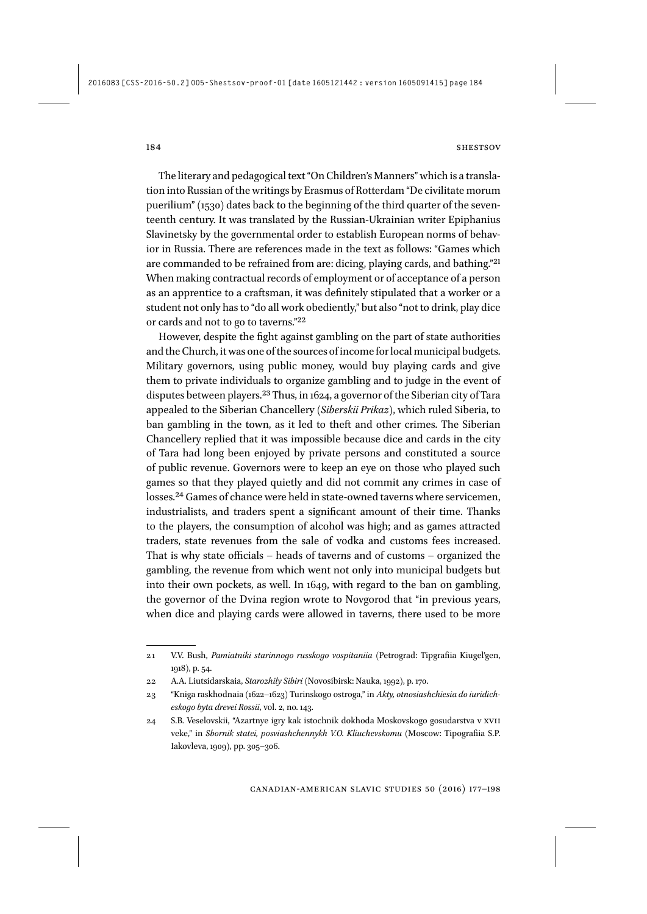The literary and pedagogical text"On Children's Manners" which is a translation into Russian of the writings by Erasmus of Rotterdam "De civilitate morum puerilium" (1530) dates back to the beginning of the third quarter of the seventeenth century. It was translated by the Russian-Ukrainian writer Epiphanius Slavinetsky by the governmental order to establish European norms of behavior in Russia. There are references made in the text as follows: "Games which are commanded to be refrained from are: dicing, playing cards, and bathing."21 When making contractual records of employment or of acceptance of a person as an apprentice to a craftsman, it was definitely stipulated that a worker or a student not only has to "do all work obediently," but also "not to drink, play dice or cards and not to go to taverns."22

However, despite the fight against gambling on the part of state authorities and the Church, it was one of the sources of income for local municipal budgets. Military governors, using public money, would buy playing cards and give them to private individuals to organize gambling and to judge in the event of disputes between players.<sup>23</sup> Thus, in 1624, a governor of the Siberian city of Tara appealed to the Siberian Chancellery (*Siberskii Prikaz*), which ruled Siberia, to ban gambling in the town, as it led to theft and other crimes. The Siberian Chancellery replied that it was impossible because dice and cards in the city of Tara had long been enjoyed by private persons and constituted a source of public revenue. Governors were to keep an eye on those who played such games so that they played quietly and did not commit any crimes in case of losses.24 Games of chance were held in state-owned taverns where servicemen, industrialists, and traders spent a significant amount of their time. Thanks to the players, the consumption of alcohol was high; and as games attracted traders, state revenues from the sale of vodka and customs fees increased. That is why state officials – heads of taverns and of customs – organized the gambling, the revenue from which went not only into municipal budgets but into their own pockets, as well. In 1649, with regard to the ban on gambling, the governor of the Dvina region wrote to Novgorod that "in previous years, when dice and playing cards were allowed in taverns, there used to be more

22 A.A. Liutsidarskaia, *Starozhily Sibiri* (Novosibirsk: Nauka, 1992), p. 170.

<sup>21</sup> V.V. Bush, *Pamiatniki starinnogo russkogo vospitaniia* (Petrograd: Tipgrafiia Kiugel'gen, 1918), p. 54.

<sup>23</sup> "Kniga raskhodnaia (1622–1623) Turinskogo ostroga," in *Akty, otnosiashchiesia do iuridicheskogo byta drevei Rossii*, vol. 2, no. 143.

<sup>24</sup> S.B. Veselovskii, "Azartnye igry kak istochnik dokhoda Moskovskogo gosudarstva v xvii veke," in *Sbornik statei, posviashchennykh V.O. Kliuchevskomu* (Moscow: Tipografiia S.P. Iakovleva, 1909), pp. 305–306.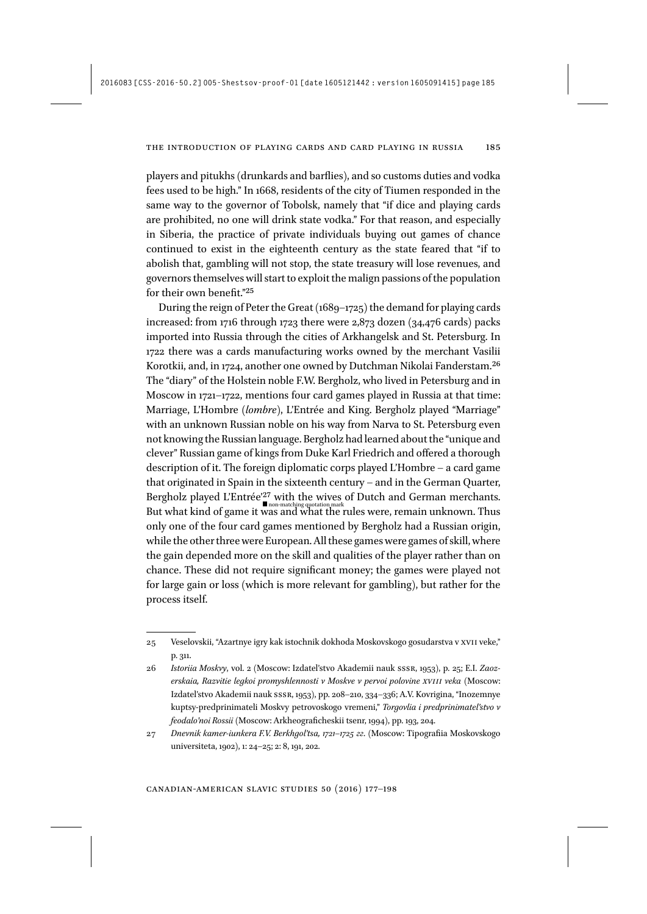players and pitukhs (drunkards and barflies), and so customs duties and vodka fees used to be high." In 1668, residents of the city of Tiumen responded in the same way to the governor of Tobolsk, namely that "if dice and playing cards are prohibited, no one will drink state vodka." For that reason, and especially in Siberia, the practice of private individuals buying out games of chance continued to exist in the eighteenth century as the state feared that "if to abolish that, gambling will not stop, the state treasury will lose revenues, and governors themselves will start to exploit the malign passions of the population for their own benefit."25

During the reign of Peter the Great (1689–1725) the demand for playing cards increased: from 1716 through 1723 there were 2,873 dozen (34,476 cards) packs imported into Russia through the cities of Arkhangelsk and St. Petersburg. In 1722 there was a cards manufacturing works owned by the merchant Vasilii Korotkii, and, in 1724, another one owned by Dutchman Nikolai Fanderstam.26 The "diary" of the Holstein noble F.W. Bergholz, who lived in Petersburg and in Moscow in 1721–1722, mentions four card games played in Russia at that time: Marriage, L'Hombre (*lombre*), L'Entrée and King. Bergholz played "Marriage" with an unknown Russian noble on his way from Narva to St. Petersburg even not knowing the Russian language. Bergholz had learned about the"unique and clever" Russian game of kings from Duke Karl Friedrich and offered a thorough description of it. The foreign diplomatic corps played L'Hombre – a card game that originated in Spain in the sixteenth century – and in the German Quarter, Bergholz played L'Entrée'<sup>27</sup> with the wives of Dutch and German merchants. But what kind of game it was and what the rules were, remain unknown. Thus only one of the four card games mentioned by Bergholz had a Russian origin, while the other three were European. All these games were games of skill, where the gain depended more on the skill and qualities of the player rather than on chance. These did not require significant money; the games were played not for large gain or loss (which is more relevant for gambling), but rather for the process itself.

<sup>25</sup> Veselovskii, "Azartnye igry kak istochnik dokhoda Moskovskogo gosudarstva v xvii veke," p. 311.

<sup>26</sup> *Istoriia Moskvy*, vol. 2 (Moscow: Izdatel'stvo Akademii nauk sssr, 1953), p. 25; E.I. *Zaozerskaia, Razvitie legkoi promyshlennosti v Moskve v pervoi polovine xviii veka* (Moscow: Izdatel'stvo Akademii nauk sssr, 1953), pp. 208–210, 334–336; A.V. Kovrigina, "Inozemnye kuptsy-predprinimateli Moskvy petrovoskogo vremeni," *Torgovlia i predprinimatel'stvo v feodalo'noi Rossii* (Moscow: Arkheograficheskii tsenr, 1994), pp. 193, 204.

<sup>27</sup> *Dnevnik kamer-iunkera F.V. Berkhgol'tsa, 1721–1725 гг*. (Moscow: Tipografiia Moskovskogo universiteta, 1902), 1: 24–25; 2: 8, 191, 202.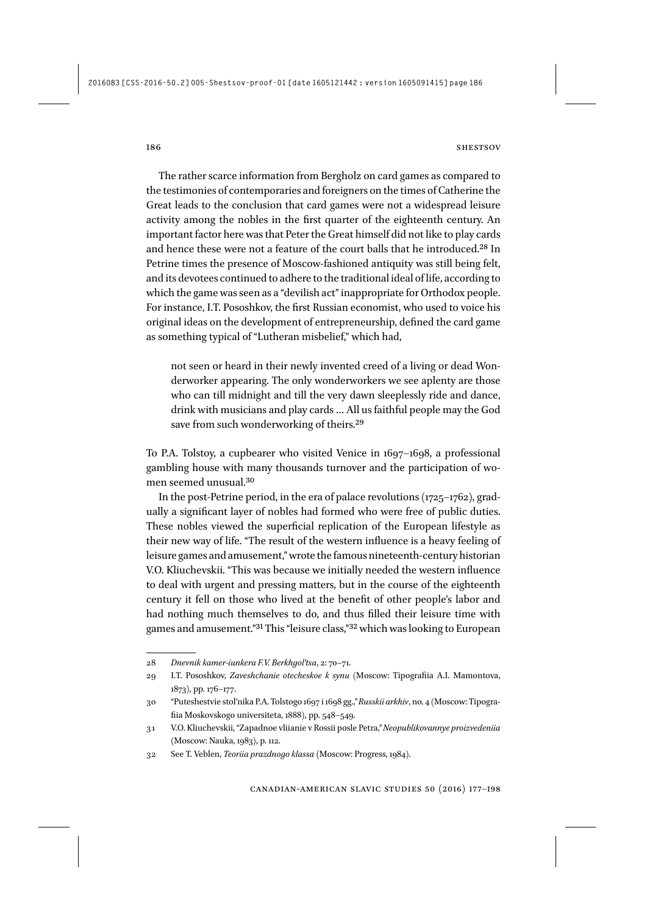The rather scarce information from Bergholz on card games as compared to the testimonies of contemporaries and foreigners on the times of Catherine the Great leads to the conclusion that card games were not a widespread leisure activity among the nobles in the first quarter of the eighteenth century. An important factor here was that Peter the Great himself did not like to play cards and hence these were not a feature of the court balls that he introduced.28 In Petrine times the presence of Moscow-fashioned antiquity was still being felt, and its devotees continued to adhere to the traditional ideal of life, according to which the game was seen as a "devilish act" inappropriate for Orthodox people. For instance, I.T. Pososhkov, the first Russian economist, who used to voice his original ideas on the development of entrepreneurship, defined the card game as something typical of "Lutheran misbelief," which had,

not seen or heard in their newly invented creed of a living or dead Wonderworker appearing. The only wonderworkers we see aplenty are those who can till midnight and till the very dawn sleeplessly ride and dance, drink with musicians and play cards … All us faithful people may the God save from such wonderworking of theirs.<sup>29</sup>

To P.A. Tolstoy, a cupbearer who visited Venice in 1697–1698, a professional gambling house with many thousands turnover and the participation of women seemed unusual.30

In the post-Petrine period, in the era of palace revolutions (1725–1762), gradually a significant layer of nobles had formed who were free of public duties. These nobles viewed the superficial replication of the European lifestyle as their new way of life. "The result of the western influence is a heavy feeling of leisure games and amusement," wrote the famous nineteenth-century historian V.O. Kliuchevskii. "This was because we initially needed the western influence to deal with urgent and pressing matters, but in the course of the eighteenth century it fell on those who lived at the benefit of other people's labor and had nothing much themselves to do, and thus filled their leisure time with games and amusement."<sup>31</sup> This "leisure class,"<sup>32</sup> which was looking to European

<sup>28</sup> *Dnevnik kamer-iunkera F.V. Berkhgol'tsa*, 2: 70–71.

<sup>29</sup> I.T. Pososhkov, *Zaveshchanie otecheskoe k synu* (Moscow: Tipografiia A.I. Mamontova, 1873), pp. 176–177.

<sup>30</sup> "Puteshestvie stol'nika P.A. Tolstogo 1697 i 1698 gg.,"*Russkii arkhiv*, no. 4 (Moscow: Tipografiia Moskovskogo universiteta, 1888), pp. 548–549.

<sup>31</sup> V.O. Kliuchevskii, "Zapadnoe vliianie v Rossii posle Petra,"*Neopublikovannye proizvedeniia* (Moscow: Nauka, 1983), p. 112.

<sup>32</sup> See T. Veblen, *Teoriia prazdnogo klassa* (Moscow: Progress, 1984).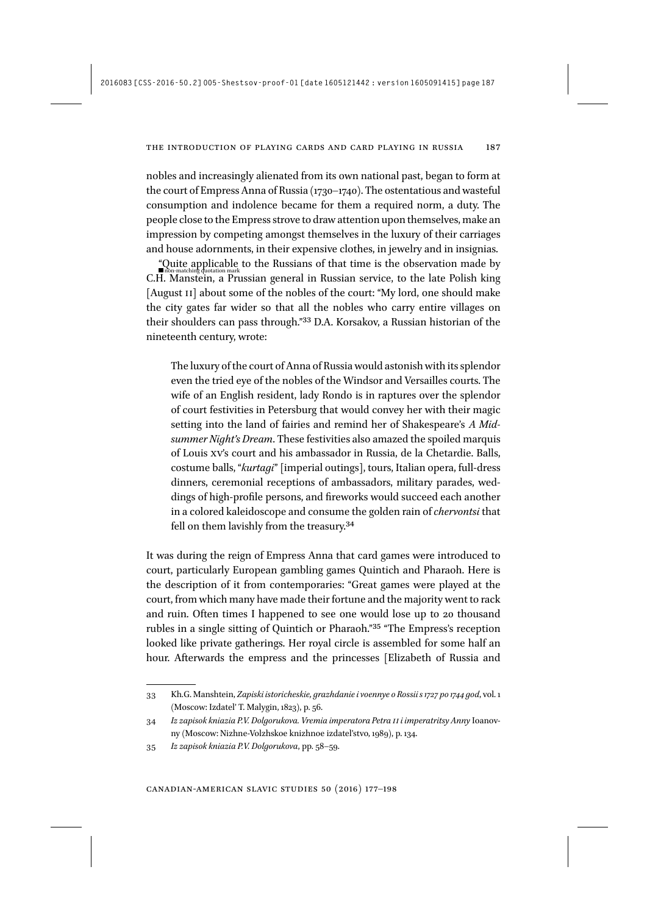nobles and increasingly alienated from its own national past, began to form at the court of Empress Anna of Russia (1730–1740). The ostentatious and wasteful consumption and indolence became for them a required norm, a duty. The people close to the Empress strove to draw attention upon themselves, make an impression by competing amongst themselves in the luxury of their carriages and house adornments, in their expensive clothes, in jewelry and in insignias.

**u**non-matching quotation mark<br>C.H. Manstein, a Prussian general in Russian service, to the late Polish king "Quite applicable to the Russians of that time is the observation made by [August II] about some of the nobles of the court: "My lord, one should make the city gates far wider so that all the nobles who carry entire villages on their shoulders can pass through."33 D.A. Korsakov, a Russian historian of the nineteenth century, wrote:

The luxury of the court of Anna of Russia would astonish with its splendor even the tried eye of the nobles of the Windsor and Versailles courts. The wife of an English resident, lady Rondo is in raptures over the splendor of court festivities in Petersburg that would convey her with their magic setting into the land of fairies and remind her of Shakespeare's *A Midsummer Night's Dream*. These festivities also amazed the spoiled marquis of Louis xv's court and his ambassador in Russia, de la Chetardie. Balls, costume balls, "*kurtagi*" [imperial outings], tours, Italian opera, full-dress dinners, ceremonial receptions of ambassadors, military parades, weddings of high-profile persons, and fireworks would succeed each another in a colored kaleidoscope and consume the golden rain of*chervontsi* that fell on them lavishly from the treasury.34

It was during the reign of Empress Anna that card games were introduced to court, particularly European gambling games Quintich and Pharaoh. Here is the description of it from contemporaries: "Great games were played at the court, from which many have made their fortune and the majority went to rack and ruin. Often times I happened to see one would lose up to 20 thousand rubles in a single sitting of Quintich or Pharaoh."35 "The Empress's reception looked like private gatherings. Her royal circle is assembled for some half an hour. Afterwards the empress and the princesses [Elizabeth of Russia and

<sup>33</sup> Kh.G. Manshtein, *Zapiski istoricheskie, grazhdanie i voennye o Rossii s 1727 po 1744 god*, vol. 1 (Moscow: Izdatel' T. Malygin, 1823), p. 56.

<sup>34</sup> *Iz zapisok kniazia P.V. Dolgorukova. Vremia imperatora Petra ii i imperatritsy Anny* Ioanovny (Moscow: Nizhne-Volzhskoe knizhnoe izdatel'stvo, 1989), p. 134.

<sup>35</sup> *Iz zapisok kniazia P.V. Dolgorukova*, pp. 58–59.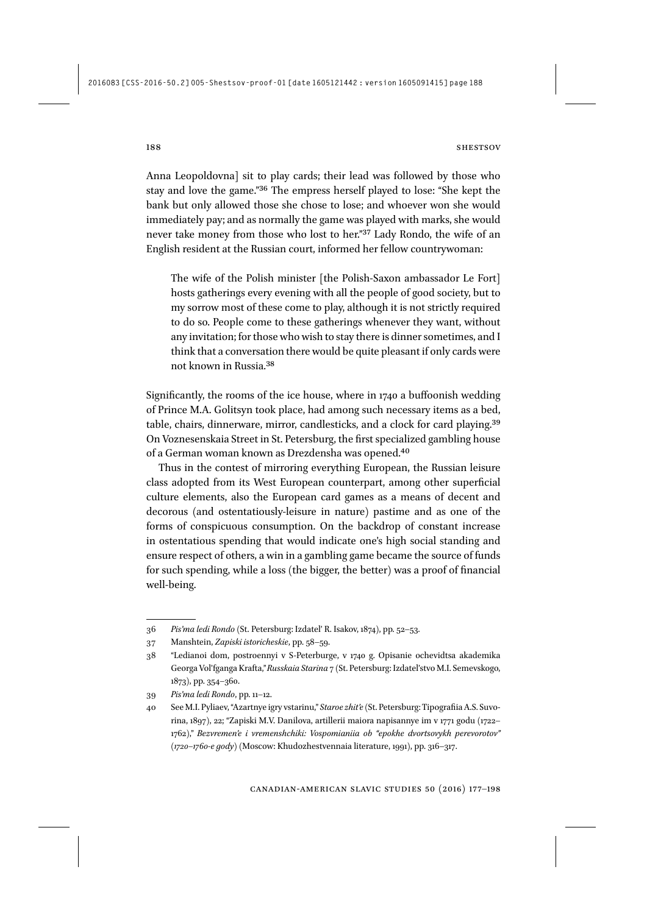Anna Leopoldovna] sit to play cards; their lead was followed by those who stay and love the game."36 The empress herself played to lose: "She kept the bank but only allowed those she chose to lose; and whoever won she would immediately pay; and as normally the game was played with marks, she would never take money from those who lost to her."37 Lady Rondo, the wife of an English resident at the Russian court, informed her fellow countrywoman:

The wife of the Polish minister [the Polish-Saxon ambassador Le Fort] hosts gatherings every evening with all the people of good society, but to my sorrow most of these come to play, although it is not strictly required to do so. People come to these gatherings whenever they want, without any invitation; for those who wish to stay there is dinner sometimes, and I think that a conversation there would be quite pleasant if only cards were not known in Russia.38

Significantly, the rooms of the ice house, where in 1740 a buffoonish wedding of Prince M.A. Golitsyn took place, had among such necessary items as a bed, table, chairs, dinnerware, mirror, candlesticks, and a clock for card playing.39 On Voznesenskaia Street in St. Petersburg, the first specialized gambling house of a German woman known as Drezdensha was opened.40

Thus in the contest of mirroring everything European, the Russian leisure class adopted from its West European counterpart, among other superficial culture elements, also the European card games as a means of decent and decorous (and ostentatiously-leisure in nature) pastime and as one of the forms of conspicuous consumption. On the backdrop of constant increase in ostentatious spending that would indicate one's high social standing and ensure respect of others, a win in a gambling game became the source of funds for such spending, while a loss (the bigger, the better) was a proof of financial well-being.

<sup>36</sup> *Pis'ma ledi Rondo* (St. Petersburg: Izdatel' R. Isakov, 1874), pp. 52–53.

<sup>37</sup> Manshtein, *Zapiski istoricheskie*, pp. 58–59.

<sup>38</sup> "Ledianoi dom, postroennyi v S-Peterburge, v 1740 g. Opisanie ochevidtsa akademika Georga Vol'fganga Krafta,"*Russkaia Starina* 7 (St. Petersburg: Izdatel'stvo M.I. Semevskogo, 1873), pp. 354–360.

<sup>39</sup> *Pis'ma ledi Rondo*, pp. 11–12.

<sup>40</sup> See M.I. Pyliaev,"Azartnye igry vstarinu," *Staroe zhit'e*(St. Petersburg: Tipografiia A.S. Suvorina, 1897), 22; "Zapiski M.V. Danilova, artillerii maiora napisannye im v 1771 godu (1722– 1762)," *Bezvremen'e i vremenshchiki: Vospomianiia ob "epokhe dvortsovykh perevorotov" (1720–1760-e gody)* (Moscow: Khudozhestvennaia literature, 1991), pp. 316–317.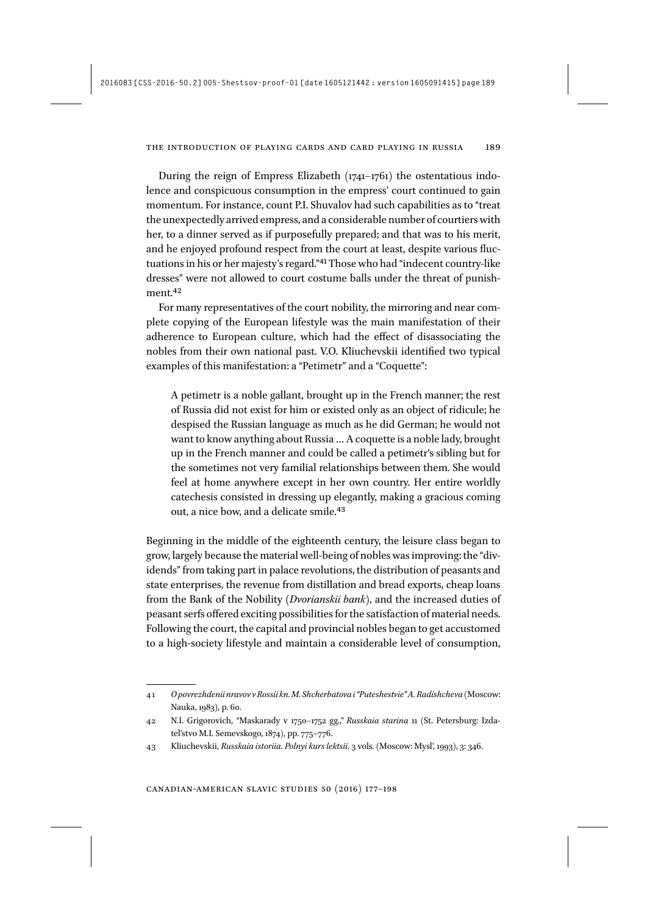During the reign of Empress Elizabeth (1741–1761) the ostentatious indolence and conspicuous consumption in the empress' court continued to gain momentum. For instance, count P.I. Shuvalov had such capabilities as to "treat the unexpectedly arrived empress, and a considerable number of courtiers with her, to a dinner served as if purposefully prepared; and that was to his merit, and he enjoyed profound respect from the court at least, despite various fluctuations in his or her majesty's regard."41 Those who had "indecent country-like dresses" were not allowed to court costume balls under the threat of punishment.<sup>42</sup>

For many representatives of the court nobility, the mirroring and near complete copying of the European lifestyle was the main manifestation of their adherence to European culture, which had the effect of disassociating the nobles from their own national past. V.O. Kliuchevskii identified two typical examples of this manifestation: a "Petimetr" and a "Coquette":

A petimetr is a noble gallant, brought up in the French manner; the rest of Russia did not exist for him or existed only as an object of ridicule; he despised the Russian language as much as he did German; he would not want to know anything about Russia … A coquette is a noble lady, brought up in the French manner and could be called a petimetr's sibling but for the sometimes not very familial relationships between them. She would feel at home anywhere except in her own country. Her entire worldly catechesis consisted in dressing up elegantly, making a gracious coming out, a nice bow, and a delicate smile.43

Beginning in the middle of the eighteenth century, the leisure class began to grow, largely because the material well-being of nobles was improving: the "dividends" from taking part in palace revolutions, the distribution of peasants and state enterprises, the revenue from distillation and bread exports, cheap loans from the Bank of the Nobility (*Dvorianskii bank*), and the increased duties of peasant serfs offered exciting possibilities for the satisfaction of material needs. Following the court, the capital and provincial nobles began to get accustomed to a high-society lifestyle and maintain a considerable level of consumption,

<sup>41</sup> *O povrezhdeniinravov v Rossii kn.M. Shcherbatova i"Puteshestvie" A. Radishcheva* (Moscow: Nauka, 1983), p. 60.

<sup>42</sup> N.I. Grigorovich, "Maskarady v 1750–1752 gg.," *Russkaia starina* 11 (St. Petersburg: Izdatel'stvo M.I. Semevskogo, 1874), pp. 775–776.

<sup>43</sup> Kliuchevskii, *Russkaia istoriia. Polnyi kurs lektsii*. 3 vols. (Moscow: Mysl', 1993), 3: 346.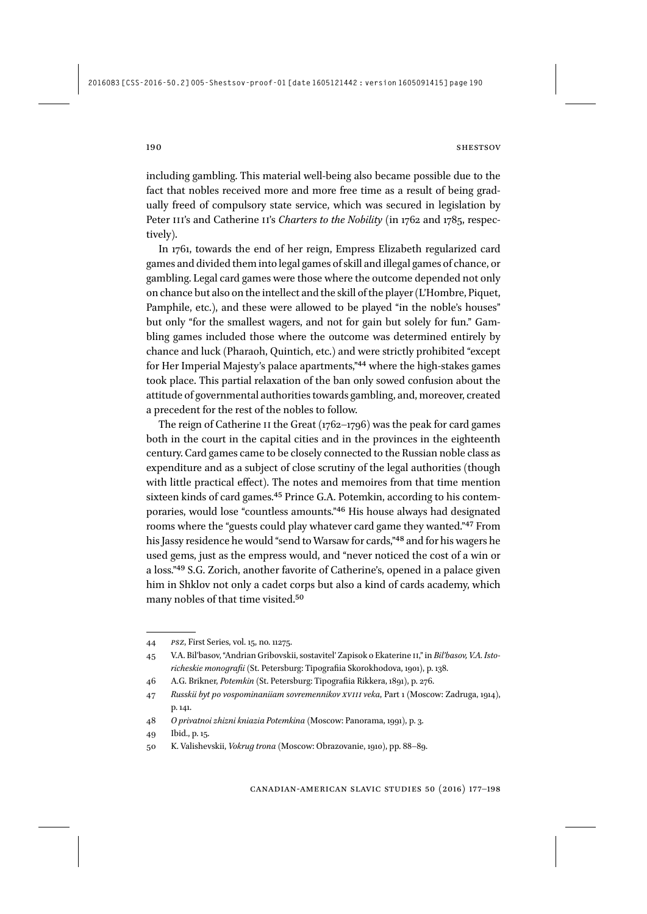# 190 SHESTSOV

including gambling. This material well-being also became possible due to the fact that nobles received more and more free time as a result of being gradually freed of compulsory state service, which was secured in legislation by Peter III's and Catherine II's *Charters to the Nobility* (in 1762 and 1785, respectively).

In 1761, towards the end of her reign, Empress Elizabeth regularized card games and divided them into legal games of skill and illegal games of chance, or gambling. Legal card games were those where the outcome depended not only on chance but also on the intellect and the skill of the player (L'Hombre, Piquet, Pamphile, etc.), and these were allowed to be played "in the noble's houses" but only "for the smallest wagers, and not for gain but solely for fun." Gambling games included those where the outcome was determined entirely by chance and luck (Pharaoh, Quintich, etc.) and were strictly prohibited "except for Her Imperial Majesty's palace apartments,"<sup>44</sup> where the high-stakes games took place. This partial relaxation of the ban only sowed confusion about the attitude of governmental authorities towards gambling, and, moreover, created a precedent for the rest of the nobles to follow.

The reign of Catherine II the Great (1762-1796) was the peak for card games both in the court in the capital cities and in the provinces in the eighteenth century. Card games came to be closely connected to the Russian noble class as expenditure and as a subject of close scrutiny of the legal authorities (though with little practical effect). The notes and memoires from that time mention sixteen kinds of card games.<sup>45</sup> Prince G.A. Potemkin, according to his contemporaries, would lose "countless amounts."46 His house always had designated rooms where the "guests could play whatever card game they wanted."47 From his Jassy residence he would "send to Warsaw for cards,"48 and for his wagers he used gems, just as the empress would, and "never noticed the cost of a win or a loss."49 S.G. Zorich, another favorite of Catherine's, opened in a palace given him in Shklov not only a cadet corps but also a kind of cards academy, which many nobles of that time visited.50

<sup>44</sup> *psz*, First Series, vol. 15, no. 11275.

<sup>45</sup> V.A. Bil'basov, "Andrian Gribovskii, sostavitel' Zapisok o Ekaterine ii," in *Bil'basov, V.A.Istoricheskie monografii* (St. Petersburg: Tipografiia Skorokhodova, 1901), p. 138.

<sup>46</sup> A.G. Brikner, *Potemkin* (St. Petersburg: Tipografiia Rikkera, 1891), p. 276.

<sup>47</sup> *Russkii byt po vospominaniiam sovremennikov xviii veka*, Part 1 (Moscow: Zadruga, 1914), p. 141.

<sup>48</sup> *O privatnoi zhizni kniazia Potemkina* (Moscow: Panorama, 1991), p. 3.

<sup>49</sup> Ibid., p. 15.

<sup>50</sup> K. Valishevskii, *Vokrug trona* (Moscow: Obrazovanie, 1910), pp. 88–89.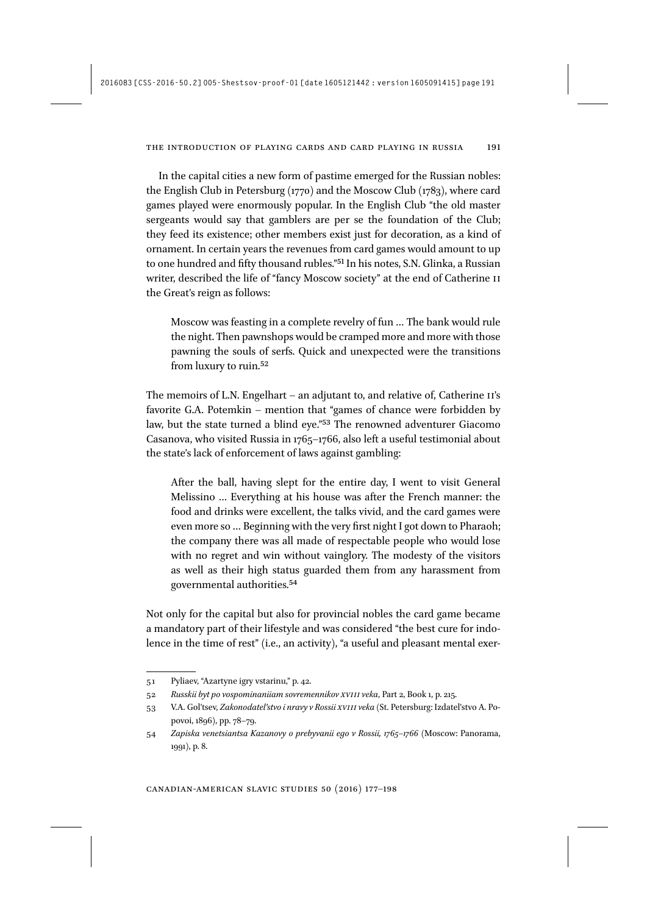In the capital cities a new form of pastime emerged for the Russian nobles: the English Club in Petersburg (1770) and the Moscow Club (1783), where card games played were enormously popular. In the English Club "the old master sergeants would say that gamblers are per se the foundation of the Club; they feed its existence; other members exist just for decoration, as a kind of ornament. In certain years the revenues from card games would amount to up to one hundred and fifty thousand rubles."51 In his notes, S.N. Glinka, a Russian writer, described the life of "fancy Moscow society" at the end of Catherine II the Great's reign as follows:

Moscow was feasting in a complete revelry of fun … The bank would rule the night. Then pawnshops would be cramped more and more with those pawning the souls of serfs. Quick and unexpected were the transitions from luxury to ruin.52

The memoirs of L.N. Engelhart – an adjutant to, and relative of, Catherine ii's favorite G.A. Potemkin – mention that "games of chance were forbidden by law, but the state turned a blind eye."53 The renowned adventurer Giacomo Casanova, who visited Russia in 1765–1766, also left a useful testimonial about the state's lack of enforcement of laws against gambling:

After the ball, having slept for the entire day, I went to visit General Melissino … Everything at his house was after the French manner: the food and drinks were excellent, the talks vivid, and the card games were even more so … Beginning with the very first night I got down to Pharaoh; the company there was all made of respectable people who would lose with no regret and win without vainglory. The modesty of the visitors as well as their high status guarded them from any harassment from governmental authorities.54

Not only for the capital but also for provincial nobles the card game became a mandatory part of their lifestyle and was considered "the best cure for indolence in the time of rest" (i.e., an activity), "a useful and pleasant mental exer-

<sup>51</sup> Pyliaev, "Azartyne igry vstarinu," p. 42.

<sup>52</sup> *Russkii byt po vospominaniiam sovremennikov xviii veka*, Part 2, Book 1, p. 215.

<sup>53</sup> V.A. Gol'tsev, *Zakonodatel'stvo i nravy v Rossii xviii veka* (St. Petersburg: Izdatel'stvo A. Popovoi, 1896), pp. 78–79.

<sup>54</sup> *Zapiska venetsiantsa Kazanovy o prebyvanii ego v Rossii, 1765–1766* (Moscow: Panorama, 1991), p. 8.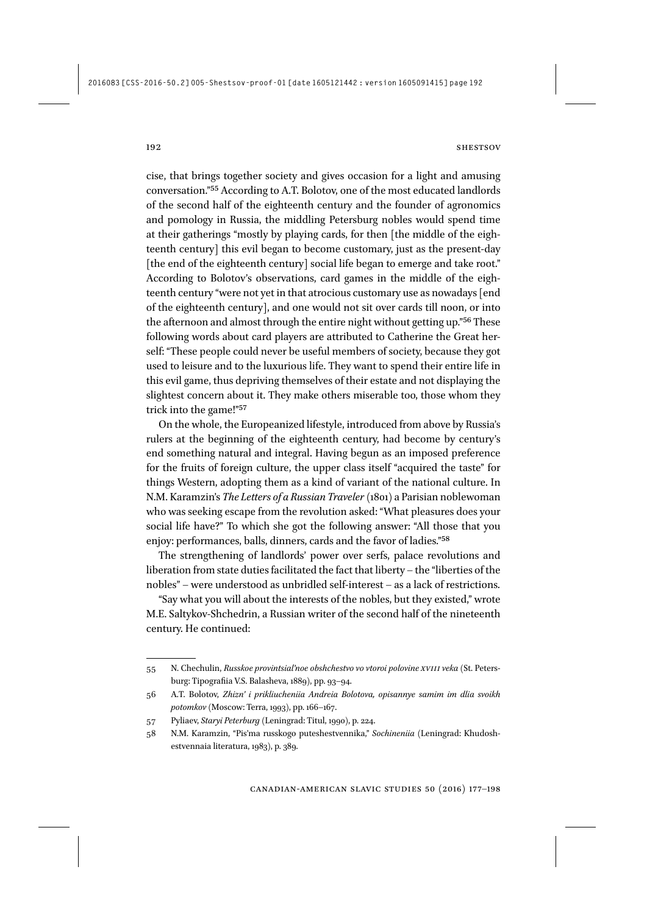cise, that brings together society and gives occasion for a light and amusing conversation."55 According to A.T. Bolotov, one of the most educated landlords of the second half of the eighteenth century and the founder of agronomics and pomology in Russia, the middling Petersburg nobles would spend time at their gatherings "mostly by playing cards, for then [the middle of the eighteenth century] this evil began to become customary, just as the present-day [the end of the eighteenth century] social life began to emerge and take root." According to Bolotov's observations, card games in the middle of the eighteenth century "were not yet in that atrocious customary use as nowadays [end of the eighteenth century], and one would not sit over cards till noon, or into the afternoon and almost through the entire night without getting up."56 These following words about card players are attributed to Catherine the Great herself: "These people could never be useful members of society, because they got used to leisure and to the luxurious life. They want to spend their entire life in this evil game, thus depriving themselves of their estate and not displaying the slightest concern about it. They make others miserable too, those whom they trick into the game!"57

On the whole, the Europeanized lifestyle, introduced from above by Russia's rulers at the beginning of the eighteenth century, had become by century's end something natural and integral. Having begun as an imposed preference for the fruits of foreign culture, the upper class itself "acquired the taste" for things Western, adopting them as a kind of variant of the national culture. In N.M. Karamzin's *The Letters of a Russian Traveler* (1801) a Parisian noblewoman who was seeking escape from the revolution asked: "What pleasures does your social life have?" To which she got the following answer: "All those that you enjoy: performances, balls, dinners, cards and the favor of ladies."58

The strengthening of landlords' power over serfs, palace revolutions and liberation from state duties facilitated the fact that liberty – the "liberties of the nobles" – were understood as unbridled self-interest – as a lack of restrictions.

"Say what you will about the interests of the nobles, but they existed," wrote M.E. Saltykov-Shchedrin, a Russian writer of the second half of the nineteenth century. He continued:

<sup>55</sup> N. Chechulin, *Russkoe provintsial'noe obshchestvo vo vtoroi polovine xviii veka* (St. Petersburg: Tipografiia V.S. Balasheva, 1889), pp. 93–94.

<sup>56</sup> A.T. Bolotov, *Zhizn' i prikliucheniia Andreia Bolotova, opisannye samim im dlia svoikh potomkov* (Moscow: Terra, 1993), pp. 166–167.

<sup>57</sup> Pyliaev, *Staryi Peterburg* (Leningrad: Titul, 1990), p. 224.

<sup>58</sup> N.M. Karamzin, "Pis'ma russkogo puteshestvennika," *Sochineniia* (Leningrad: Khudoshestvennaia literatura, 1983), p. 389.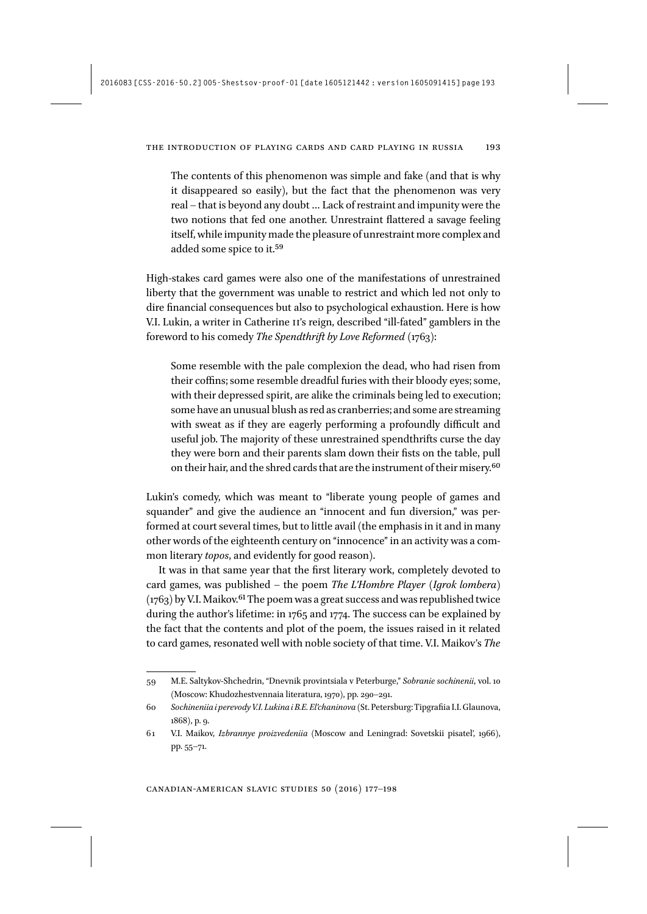The contents of this phenomenon was simple and fake (and that is why it disappeared so easily), but the fact that the phenomenon was very real – that is beyond any doubt … Lack of restraint and impunity were the two notions that fed one another. Unrestraint flattered a savage feeling itself, while impunity made the pleasure of unrestraint more complex and added some spice to it.59

High-stakes card games were also one of the manifestations of unrestrained liberty that the government was unable to restrict and which led not only to dire financial consequences but also to psychological exhaustion. Here is how V.I. Lukin, a writer in Catherine ii's reign, described "ill-fated" gamblers in the foreword to his comedy *The Spendthrift by Love Reformed* (1763):

Some resemble with the pale complexion the dead, who had risen from their coffins; some resemble dreadful furies with their bloody eyes; some, with their depressed spirit, are alike the criminals being led to execution; some have an unusual blush as red as cranberries; and some are streaming with sweat as if they are eagerly performing a profoundly difficult and useful job. The majority of these unrestrained spendthrifts curse the day they were born and their parents slam down their fists on the table, pull on their hair, and the shred cards that are the instrument of their misery.60

Lukin's comedy, which was meant to "liberate young people of games and squander" and give the audience an "innocent and fun diversion," was performed at court several times, but to little avail (the emphasis in it and in many other words of the eighteenth century on "innocence" in an activity was a common literary *topos*, and evidently for good reason).

It was in that same year that the first literary work, completely devoted to card games, was published – the poem *The L'Hombre Player* (*Igrok lombera*)  $(1763)$  by V.I. Maikov.<sup>61</sup> The poem was a great success and was republished twice during the author's lifetime: in 1765 and 1774. The success can be explained by the fact that the contents and plot of the poem, the issues raised in it related to card games, resonated well with noble society of that time. V.I. Maikov's *The*

<sup>59</sup> M.E. Saltykov-Shchedrin, "Dnevnik provintsiala v Peterburge," *Sobranie sochinenii*, vol. 10 (Moscow: Khudozhestvennaia literatura, 1970), pp. 290–291.

<sup>60</sup> *Sochineniia i perevody V.I. Lukina i B.E. El'chaninova* (St. Petersburg: TipgrafiiaI.I. Glaunova, 1868), p. 9.

<sup>61</sup> V.I. Maikov, *Izbrannye proizvedeniia* (Moscow and Leningrad: Sovetskii pisatel', 1966), pp. 55–71.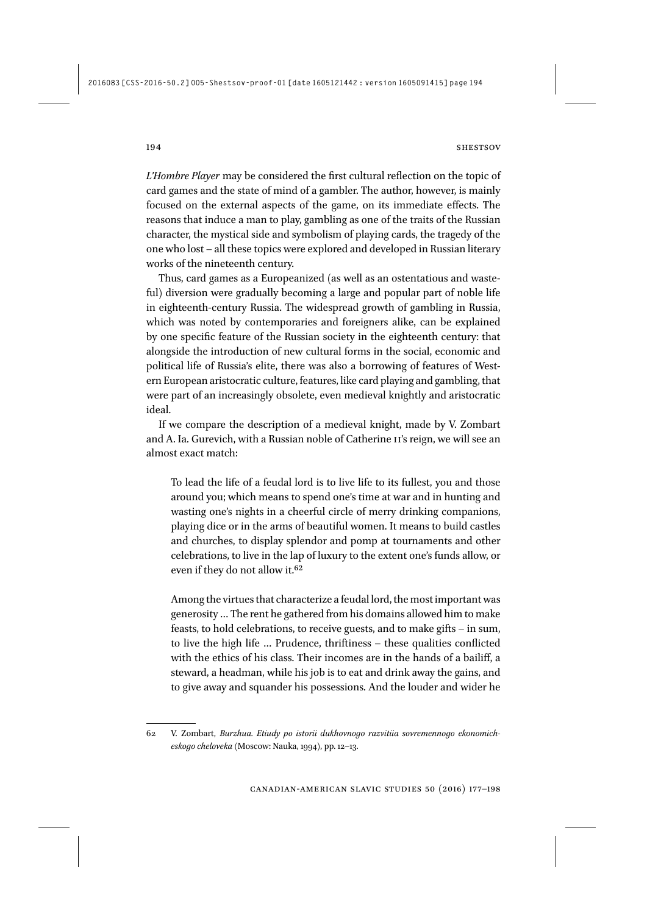# 194 SHESTSOV

*L'Hombre Player* may be considered the first cultural reflection on the topic of card games and the state of mind of a gambler. The author, however, is mainly focused on the external aspects of the game, on its immediate effects. The reasons that induce a man to play, gambling as one of the traits of the Russian character, the mystical side and symbolism of playing cards, the tragedy of the one who lost – all these topics were explored and developed in Russian literary works of the nineteenth century.

Thus, card games as a Europeanized (as well as an ostentatious and wasteful) diversion were gradually becoming a large and popular part of noble life in eighteenth-century Russia. The widespread growth of gambling in Russia, which was noted by contemporaries and foreigners alike, can be explained by one specific feature of the Russian society in the eighteenth century: that alongside the introduction of new cultural forms in the social, economic and political life of Russia's elite, there was also a borrowing of features of Western European aristocratic culture, features, like card playing and gambling, that were part of an increasingly obsolete, even medieval knightly and aristocratic ideal.

If we compare the description of a medieval knight, made by V. Zombart and A. Ia. Gurevich, with a Russian noble of Catherine II's reign, we will see an almost exact match:

To lead the life of a feudal lord is to live life to its fullest, you and those around you; which means to spend one's time at war and in hunting and wasting one's nights in a cheerful circle of merry drinking companions, playing dice or in the arms of beautiful women. It means to build castles and churches, to display splendor and pomp at tournaments and other celebrations, to live in the lap of luxury to the extent one's funds allow, or even if they do not allow it.62

Among the virtues that characterize a feudal lord, the most important was generosity … The rent he gathered from his domains allowed him to make feasts, to hold celebrations, to receive guests, and to make gifts – in sum, to live the high life … Prudence, thriftiness – these qualities conflicted with the ethics of his class. Their incomes are in the hands of a bailiff, a steward, a headman, while his job is to eat and drink away the gains, and to give away and squander his possessions. And the louder and wider he

<sup>62</sup> V. Zombart, *Burzhua. Etiudy po istorii dukhovnogo razvitiia sovremennogo ekonomicheskogo cheloveka* (Moscow: Nauka, 1994), pp. 12–13.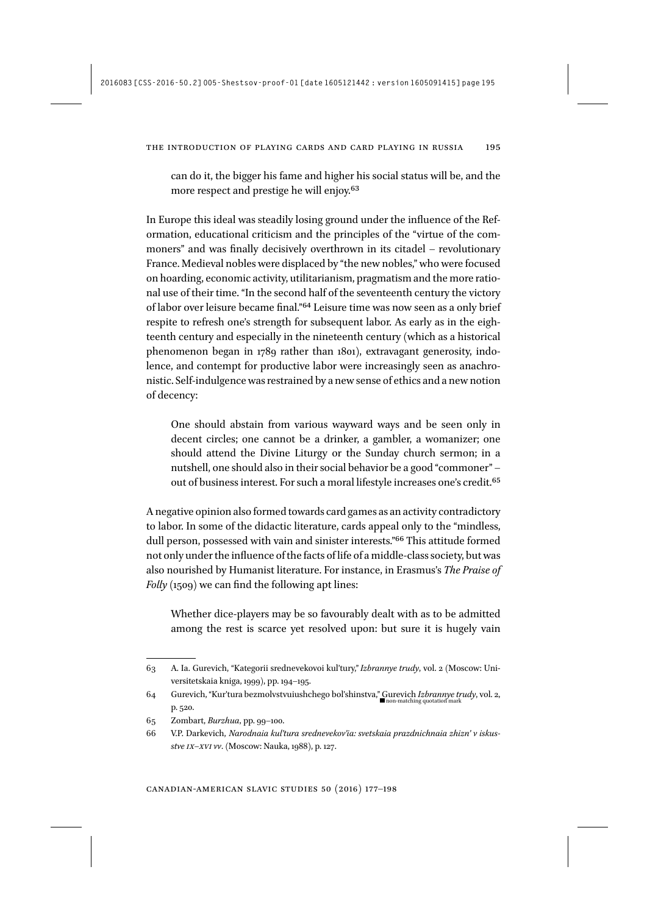can do it, the bigger his fame and higher his social status will be, and the more respect and prestige he will enjoy.63

In Europe this ideal was steadily losing ground under the influence of the Reformation, educational criticism and the principles of the "virtue of the commoners" and was finally decisively overthrown in its citadel – revolutionary France. Medieval nobles were displaced by "the new nobles," who were focused on hoarding, economic activity, utilitarianism, pragmatism and the more rational use of their time. "In the second half of the seventeenth century the victory of labor over leisure became final."64 Leisure time was now seen as a only brief respite to refresh one's strength for subsequent labor. As early as in the eighteenth century and especially in the nineteenth century (which as a historical phenomenon began in 1789 rather than 1801), extravagant generosity, indolence, and contempt for productive labor were increasingly seen as anachronistic. Self-indulgence was restrained by a new sense of ethics and a new notion of decency:

One should abstain from various wayward ways and be seen only in decent circles; one cannot be a drinker, a gambler, a womanizer; one should attend the Divine Liturgy or the Sunday church sermon; in a nutshell, one should also in their social behavior be a good "commoner" – out of business interest. For such a moral lifestyle increases one's credit.<sup>65</sup>

A negative opinion also formed towards card games as an activity contradictory to labor. In some of the didactic literature, cards appeal only to the "mindless, dull person, possessed with vain and sinister interests."66 This attitude formed not only under the influence of the facts of life of a middle-class society, but was also nourished by Humanist literature. For instance, in Erasmus's *The Praise of Folly* (1509) we can find the following apt lines:

Whether dice-players may be so favourably dealt with as to be admitted among the rest is scarce yet resolved upon: but sure it is hugely vain

<sup>63</sup> A. Ia. Gurevich, "Kategorii srednevekovoi kul'tury," *Izbrannye trudy*, vol. 2 (Moscow: Universitetskaia kniga, 1999), pp. 194–195.

<sup>64</sup> Gurevich, "Kur'tura bezmolvstvuiushchego bol'shinstva," non-matching quotation mark Gurevich *Izbrannye trudy*, vol. 2, p. 520.

<sup>65</sup> Zombart, *Burzhua*, pp. 99–100.

<sup>66</sup> V.P. Darkevich, *Narodnaia kul'tura srednevekov'ia: svetskaia prazdnichnaia zhizn' v iskusstveix–xvi vv*. (Moscow: Nauka, 1988), p. 127.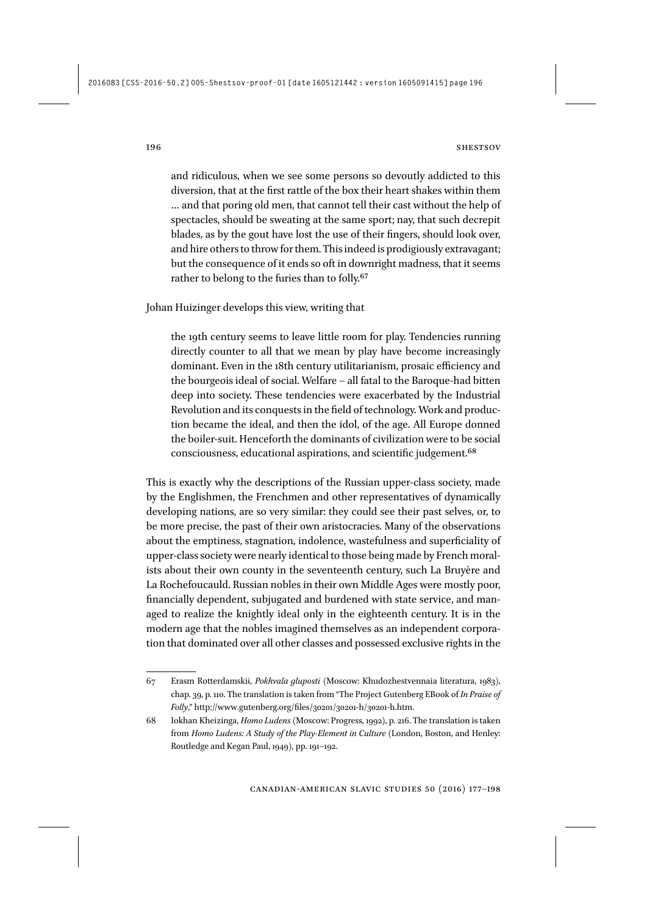and ridiculous, when we see some persons so devoutly addicted to this diversion, that at the first rattle of the box their heart shakes within them … and that poring old men, that cannot tell their cast without the help of spectacles, should be sweating at the same sport; nay, that such decrepit blades, as by the gout have lost the use of their fingers, should look over, and hire others to throw for them. This indeed is prodigiously extravagant; but the consequence of it ends so oft in downright madness, that it seems rather to belong to the furies than to folly.67

Johan Huizinger develops this view, writing that

the 19th century seems to leave little room for play. Tendencies running directly counter to all that we mean by play have become increasingly dominant. Even in the 18th century utilitarianism, prosaic efficiency and the bourgeois ideal of social. Welfare – all fatal to the Baroque-had bitten deep into society. These tendencies were exacerbated by the Industrial Revolution and its conquests in the field of technology. Work and production became the ideal, and then the idol, of the age. All Europe donned the boiler-suit. Henceforth the dominants of civilization were to be social consciousness, educational aspirations, and scientific judgement.68

This is exactly why the descriptions of the Russian upper-class society, made by the Englishmen, the Frenchmen and other representatives of dynamically developing nations, are so very similar: they could see their past selves, or, to be more precise, the past of their own aristocracies. Many of the observations about the emptiness, stagnation, indolence, wastefulness and superficiality of upper-class society were nearly identical to those being made by French moralists about their own county in the seventeenth century, such La Bruyère and La Rochefoucauld. Russian nobles in their own Middle Ages were mostly poor, financially dependent, subjugated and burdened with state service, and managed to realize the knightly ideal only in the eighteenth century. It is in the modern age that the nobles imagined themselves as an independent corporation that dominated over all other classes and possessed exclusive rights in the

<sup>67</sup> Erasm Rotterdamskii, *Pokhvala gluposti* (Moscow: Khudozhestvennaia literatura, 1983), chap. 39, p. 110. The translation is taken from "The Project Gutenberg EBook of *In Praise of Folly*," [http://www.gutenberg.org/files/30201/30201-h/30201-h.htm.](http://www.gutenberg.org/files/30201/30201-h/30201-h.htm)

<sup>68</sup> Iokhan Kheizinga, *Homo Ludens* (Moscow: Progress, 1992), p. 216. The translation is taken from *Homo Ludens: A Study of the Play-Element in Culture* (London, Boston, and Henley: Routledge and Kegan Paul, 1949), pp. 191–192.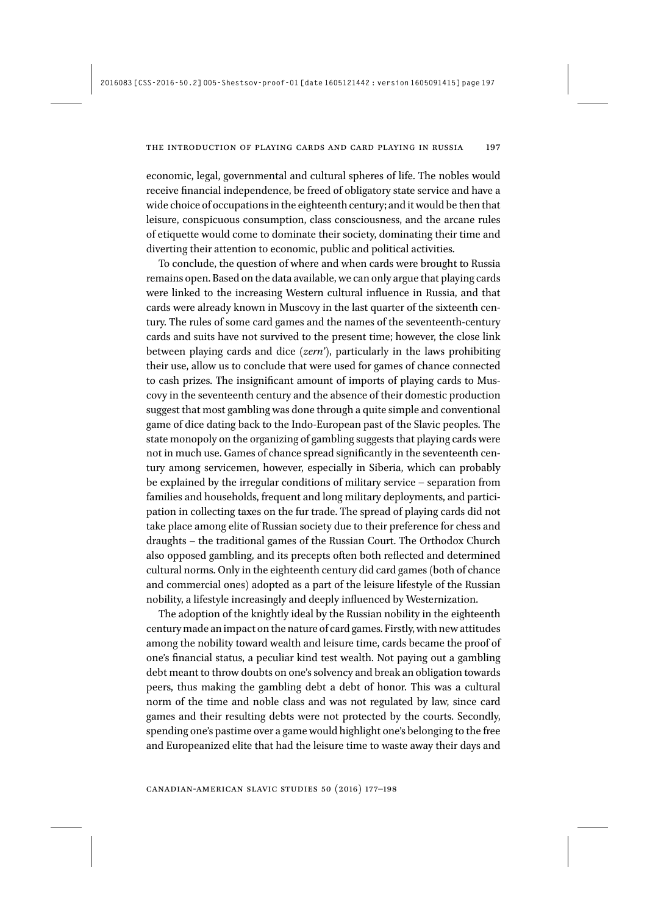economic, legal, governmental and cultural spheres of life. The nobles would receive financial independence, be freed of obligatory state service and have a wide choice of occupations in the eighteenth century; and it would be then that leisure, conspicuous consumption, class consciousness, and the arcane rules of etiquette would come to dominate their society, dominating their time and diverting their attention to economic, public and political activities.

To conclude, the question of where and when cards were brought to Russia remains open. Based on the data available, we can only argue that playing cards were linked to the increasing Western cultural influence in Russia, and that cards were already known in Muscovy in the last quarter of the sixteenth century. The rules of some card games and the names of the seventeenth-century cards and suits have not survived to the present time; however, the close link between playing cards and dice (*zern'*), particularly in the laws prohibiting their use, allow us to conclude that were used for games of chance connected to cash prizes. The insignificant amount of imports of playing cards to Muscovy in the seventeenth century and the absence of their domestic production suggest that most gambling was done through a quite simple and conventional game of dice dating back to the Indo-European past of the Slavic peoples. The state monopoly on the organizing of gambling suggests that playing cards were not in much use. Games of chance spread significantly in the seventeenth century among servicemen, however, especially in Siberia, which can probably be explained by the irregular conditions of military service – separation from families and households, frequent and long military deployments, and participation in collecting taxes on the fur trade. The spread of playing cards did not take place among elite of Russian society due to their preference for chess and draughts – the traditional games of the Russian Court. The Orthodox Church also opposed gambling, and its precepts often both reflected and determined cultural norms. Only in the eighteenth century did card games (both of chance and commercial ones) adopted as a part of the leisure lifestyle of the Russian nobility, a lifestyle increasingly and deeply influenced by Westernization.

The adoption of the knightly ideal by the Russian nobility in the eighteenth century made an impact on the nature of card games. Firstly, with new attitudes among the nobility toward wealth and leisure time, cards became the proof of one's financial status, a peculiar kind test wealth. Not paying out a gambling debt meant to throw doubts on one's solvency and break an obligation towards peers, thus making the gambling debt a debt of honor. This was a cultural norm of the time and noble class and was not regulated by law, since card games and their resulting debts were not protected by the courts. Secondly, spending one's pastime over a game would highlight one's belonging to the free and Europeanized elite that had the leisure time to waste away their days and